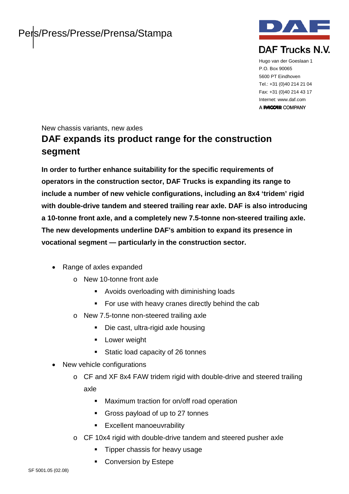

Hugo van der Goeslaan 1 P.O. Box 90065 5600 PT Eindhoven Tel.: +31 (0)40 214 21 04 Fax: +31 (0)40 214 43 17 Internet: www.daf.com A **PACCAR** COMPANY

New chassis variants, new axles

# **DAF expands its product range for the construction segment**

**In order to further enhance suitability for the specific requirements of operators in the construction sector, DAF Trucks is expanding its range to include a number of new vehicle configurations, including an 8x4 'tridem' rigid with double-drive tandem and steered trailing rear axle. DAF is also introducing a 10-tonne front axle, and a completely new 7.5-tonne non-steered trailing axle. The new developments underline DAF's ambition to expand its presence in vocational segment — particularly in the construction sector.**

- Range of axles expanded
	- o New 10-tonne front axle
		- Avoids overloading with diminishing loads
		- **For use with heavy cranes directly behind the cab**
	- o New 7.5-tonne non-steered trailing axle
		- Die cast, ultra-rigid axle housing
		- **Lower weight**
		- Static load capacity of 26 tonnes
- New vehicle configurations
	- o CF and XF 8x4 FAW tridem rigid with double-drive and steered trailing axle
		- **Maximum traction for on/off road operation**
		- Gross payload of up to 27 tonnes
		- **Excellent manoeuvrability**
	- o CF 10x4 rigid with double-drive tandem and steered pusher axle
		- **Tipper chassis for heavy usage**
		- **Conversion by Estepe**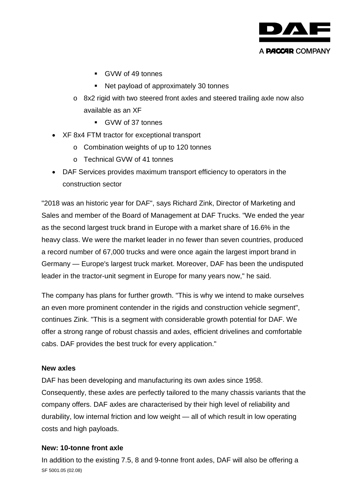

- GVW of 49 tonnes
- Net payload of approximately 30 tonnes
- o 8x2 rigid with two steered front axles and steered trailing axle now also available as an XF
	- GVW of 37 tonnes
- XF 8x4 FTM tractor for exceptional transport
	- o Combination weights of up to 120 tonnes
	- o Technical GVW of 41 tonnes
- DAF Services provides maximum transport efficiency to operators in the construction sector

"2018 was an historic year for DAF", says Richard Zink, Director of Marketing and Sales and member of the Board of Management at DAF Trucks. "We ended the year as the second largest truck brand in Europe with a market share of 16.6% in the heavy class. We were the market leader in no fewer than seven countries, produced a record number of 67,000 trucks and were once again the largest import brand in Germany — Europe's largest truck market. Moreover, DAF has been the undisputed leader in the tractor-unit segment in Europe for many years now," he said.

The company has plans for further growth. "This is why we intend to make ourselves an even more prominent contender in the rigids and construction vehicle segment", continues Zink. "This is a segment with considerable growth potential for DAF. We offer a strong range of robust chassis and axles, efficient drivelines and comfortable cabs. DAF provides the best truck for every application."

#### **New axles**

DAF has been developing and manufacturing its own axles since 1958. Consequently, these axles are perfectly tailored to the many chassis variants that the company offers. DAF axles are characterised by their high level of reliability and durability, low internal friction and low weight — all of which result in low operating costs and high payloads.

# **New: 10-tonne front axle**

SF 5001.05 (02.08) In addition to the existing 7.5, 8 and 9-tonne front axles, DAF will also be offering a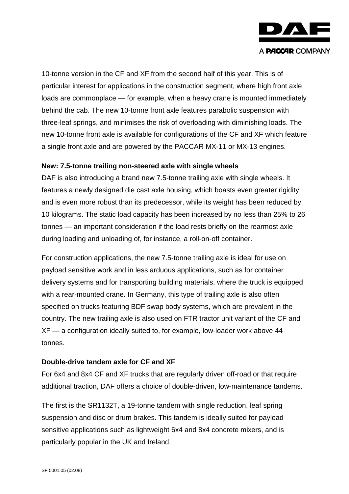

10-tonne version in the CF and XF from the second half of this year. This is of particular interest for applications in the construction segment, where high front axle loads are commonplace — for example, when a heavy crane is mounted immediately behind the cab. The new 10-tonne front axle features parabolic suspension with three-leaf springs, and minimises the risk of overloading with diminishing loads. The new 10-tonne front axle is available for configurations of the CF and XF which feature a single front axle and are powered by the PACCAR MX-11 or MX-13 engines.

#### **New: 7.5-tonne trailing non-steered axle with single wheels**

DAF is also introducing a brand new 7.5-tonne trailing axle with single wheels. It features a newly designed die cast axle housing, which boasts even greater rigidity and is even more robust than its predecessor, while its weight has been reduced by 10 kilograms. The static load capacity has been increased by no less than 25% to 26 tonnes — an important consideration if the load rests briefly on the rearmost axle during loading and unloading of, for instance, a roll-on-off container.

For construction applications, the new 7.5-tonne trailing axle is ideal for use on payload sensitive work and in less arduous applications, such as for container delivery systems and for transporting building materials, where the truck is equipped with a rear-mounted crane. In Germany, this type of trailing axle is also often specified on trucks featuring BDF swap body systems, which are prevalent in the country. The new trailing axle is also used on FTR tractor unit variant of the CF and XF — a configuration ideally suited to, for example, low-loader work above 44 tonnes.

# **Double-drive tandem axle for CF and XF**

For 6x4 and 8x4 CF and XF trucks that are regularly driven off-road or that require additional traction, DAF offers a choice of double-driven, low-maintenance tandems.

The first is the SR1132T, a 19-tonne tandem with single reduction, leaf spring suspension and disc or drum brakes. This tandem is ideally suited for payload sensitive applications such as lightweight 6x4 and 8x4 concrete mixers, and is particularly popular in the UK and Ireland.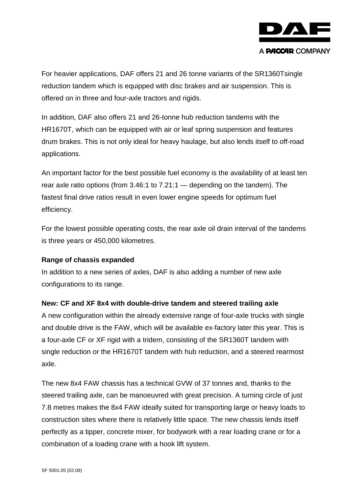

For heavier applications, DAF offers 21 and 26 tonne variants of the SR1360Tsingle reduction tandem which is equipped with disc brakes and air suspension. This is offered on in three and four-axle tractors and rigids.

In addition, DAF also offers 21 and 26-tonne hub reduction tandems with the HR1670T, which can be equipped with air or leaf spring suspension and features drum brakes. This is not only ideal for heavy haulage, but also lends itself to off-road applications.

An important factor for the best possible fuel economy is the availability of at least ten rear axle ratio options (from 3.46:1 to 7.21:1 — depending on the tandem). The fastest final drive ratios result in even lower engine speeds for optimum fuel efficiency.

For the lowest possible operating costs, the rear axle oil drain interval of the tandems is three years or 450,000 kilometres.

# **Range of chassis expanded**

In addition to a new series of axles, DAF is also adding a number of new axle configurations to its range.

# **New: CF and XF 8x4 with double-drive tandem and steered trailing axle**

A new configuration within the already extensive range of four-axle trucks with single and double drive is the FAW, which will be available ex-factory later this year. This is a four-axle CF or XF rigid with a tridem, consisting of the SR1360T tandem with single reduction or the HR1670T tandem with hub reduction, and a steered rearmost axle.

The new 8x4 FAW chassis has a technical GVW of 37 tonnes and, thanks to the steered trailing axle, can be manoeuvred with great precision. A turning circle of just 7.8 metres makes the 8x4 FAW ideally suited for transporting large or heavy loads to construction sites where there is relatively little space. The new chassis lends itself perfectly as a tipper, concrete mixer, for bodywork with a rear loading crane or for a combination of a loading crane with a hook lift system.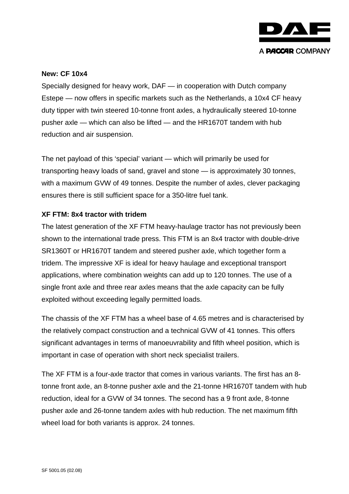

#### **New: CF 10x4**

Specially designed for heavy work, DAF — in cooperation with Dutch company Estepe — now offers in specific markets such as the Netherlands, a 10x4 CF heavy duty tipper with twin steered 10-tonne front axles, a hydraulically steered 10-tonne pusher axle — which can also be lifted — and the HR1670T tandem with hub reduction and air suspension.

The net payload of this 'special' variant — which will primarily be used for transporting heavy loads of sand, gravel and stone — is approximately 30 tonnes, with a maximum GVW of 49 tonnes. Despite the number of axles, clever packaging ensures there is still sufficient space for a 350-litre fuel tank.

#### **XF FTM: 8x4 tractor with tridem**

The latest generation of the XF FTM heavy-haulage tractor has not previously been shown to the international trade press. This FTM is an 8x4 tractor with double-drive SR1360T or HR1670T tandem and steered pusher axle, which together form a tridem. The impressive XF is ideal for heavy haulage and exceptional transport applications, where combination weights can add up to 120 tonnes. The use of a single front axle and three rear axles means that the axle capacity can be fully exploited without exceeding legally permitted loads.

The chassis of the XF FTM has a wheel base of 4.65 metres and is characterised by the relatively compact construction and a technical GVW of 41 tonnes. This offers significant advantages in terms of manoeuvrability and fifth wheel position, which is important in case of operation with short neck specialist trailers.

The XF FTM is a four-axle tractor that comes in various variants. The first has an 8 tonne front axle, an 8-tonne pusher axle and the 21-tonne HR1670T tandem with hub reduction, ideal for a GVW of 34 tonnes. The second has a 9 front axle, 8-tonne pusher axle and 26-tonne tandem axles with hub reduction. The net maximum fifth wheel load for both variants is approx. 24 tonnes.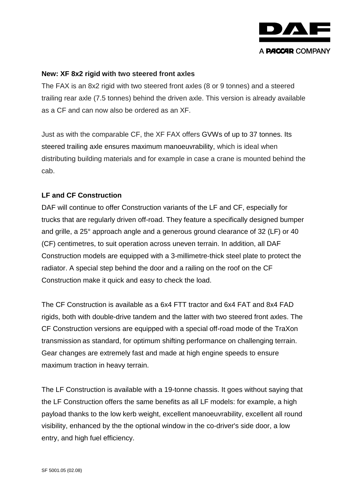

#### **New: XF 8x2 rigid with two steered front axles**

The FAX is an 8x2 rigid with two steered front axles (8 or 9 tonnes) and a steered trailing rear axle (7.5 tonnes) behind the driven axle. This version is already available as a CF and can now also be ordered as an XF.

Just as with the comparable CF, the XF FAX offers GVWs of up to 37 tonnes. Its steered trailing axle ensures maximum manoeuvrability, which is ideal when distributing building materials and for example in case a crane is mounted behind the cab.

### **LF and CF Construction**

DAF will continue to offer Construction variants of the LF and CF, especially for trucks that are regularly driven off-road. They feature a specifically designed bumper and grille, a 25° approach angle and a generous ground clearance of 32 (LF) or 40 (CF) centimetres, to suit operation across uneven terrain. In addition, all DAF Construction models are equipped with a 3-millimetre-thick steel plate to protect the radiator. A special step behind the door and a railing on the roof on the CF Construction make it quick and easy to check the load.

The CF Construction is available as a 6x4 FTT tractor and 6x4 FAT and 8x4 FAD rigids, both with double-drive tandem and the latter with two steered front axles. The CF Construction versions are equipped with a special off-road mode of the TraXon transmission as standard, for optimum shifting performance on challenging terrain. Gear changes are extremely fast and made at high engine speeds to ensure maximum traction in heavy terrain.

The LF Construction is available with a 19-tonne chassis. It goes without saying that the LF Construction offers the same benefits as all LF models: for example, a high payload thanks to the low kerb weight, excellent manoeuvrability, excellent all round visibility, enhanced by the the optional window in the co-driver's side door, a low entry, and high fuel efficiency.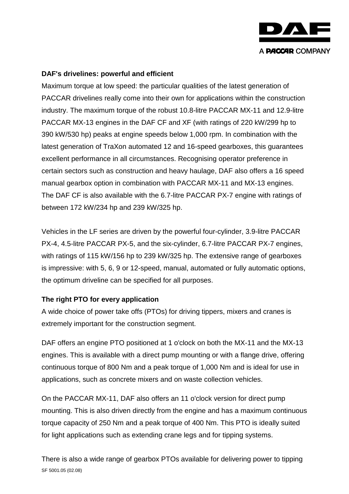

## **DAF's drivelines: powerful and efficient**

Maximum torque at low speed: the particular qualities of the latest generation of PACCAR drivelines really come into their own for applications within the construction industry. The maximum torque of the robust 10.8-litre PACCAR MX-11 and 12.9-litre PACCAR MX-13 engines in the DAF CF and XF (with ratings of 220 kW/299 hp to 390 kW/530 hp) peaks at engine speeds below 1,000 rpm. In combination with the latest generation of TraXon automated 12 and 16-speed gearboxes, this guarantees excellent performance in all circumstances. Recognising operator preference in certain sectors such as construction and heavy haulage, DAF also offers a 16 speed manual gearbox option in combination with PACCAR MX-11 and MX-13 engines. The DAF CF is also available with the 6.7-litre PACCAR PX-7 engine with ratings of between 172 kW/234 hp and 239 kW/325 hp.

Vehicles in the LF series are driven by the powerful four-cylinder, 3.9-litre PACCAR PX-4, 4.5-litre PACCAR PX-5, and the six-cylinder, 6.7-litre PACCAR PX-7 engines, with ratings of 115 kW/156 hp to 239 kW/325 hp. The extensive range of gearboxes is impressive: with 5, 6, 9 or 12-speed, manual, automated or fully automatic options, the optimum driveline can be specified for all purposes.

# **The right PTO for every application**

A wide choice of power take offs (PTOs) for driving tippers, mixers and cranes is extremely important for the construction segment.

DAF offers an engine PTO positioned at 1 o'clock on both the MX-11 and the MX-13 engines. This is available with a direct pump mounting or with a flange drive, offering continuous torque of 800 Nm and a peak torque of 1,000 Nm and is ideal for use in applications, such as concrete mixers and on waste collection vehicles.

On the PACCAR MX-11, DAF also offers an 11 o'clock version for direct pump mounting. This is also driven directly from the engine and has a maximum continuous torque capacity of 250 Nm and a peak torque of 400 Nm. This PTO is ideally suited for light applications such as extending crane legs and for tipping systems.

SF 5001.05 (02.08) There is also a wide range of gearbox PTOs available for delivering power to tipping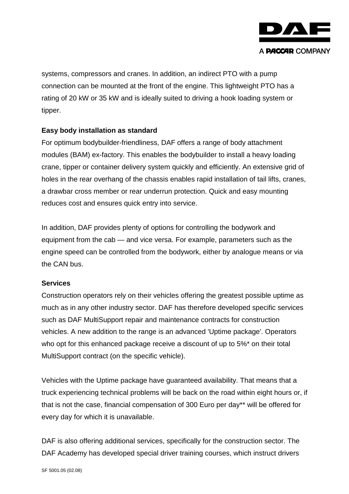

systems, compressors and cranes. In addition, an indirect PTO with a pump connection can be mounted at the front of the engine. This lightweight PTO has a rating of 20 kW or 35 kW and is ideally suited to driving a hook loading system or tipper.

# **Easy body installation as standard**

For optimum bodybuilder-friendliness, DAF offers a range of body attachment modules (BAM) ex-factory. This enables the bodybuilder to install a heavy loading crane, tipper or container delivery system quickly and efficiently. An extensive grid of holes in the rear overhang of the chassis enables rapid installation of tail lifts, cranes, a drawbar cross member or rear underrun protection. Quick and easy mounting reduces cost and ensures quick entry into service.

In addition, DAF provides plenty of options for controlling the bodywork and equipment from the cab — and vice versa. For example, parameters such as the engine speed can be controlled from the bodywork, either by analogue means or via the CAN bus.

# **Services**

Construction operators rely on their vehicles offering the greatest possible uptime as much as in any other industry sector. DAF has therefore developed specific services such as DAF MultiSupport repair and maintenance contracts for construction vehicles. A new addition to the range is an advanced 'Uptime package'. Operators who opt for this enhanced package receive a discount of up to 5%\* on their total MultiSupport contract (on the specific vehicle).

Vehicles with the Uptime package have guaranteed availability. That means that a truck experiencing technical problems will be back on the road within eight hours or, if that is not the case, financial compensation of 300 Euro per day\*\* will be offered for every day for which it is unavailable.

DAF is also offering additional services, specifically for the construction sector. The DAF Academy has developed special driver training courses, which instruct drivers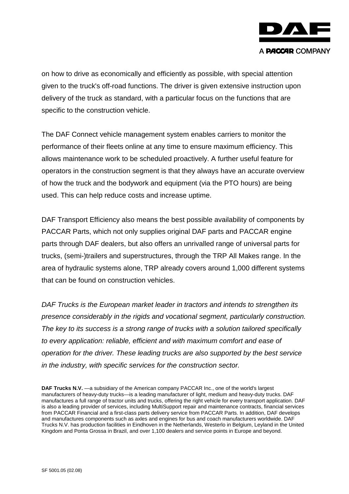

on how to drive as economically and efficiently as possible, with special attention given to the truck's off-road functions. The driver is given extensive instruction upon delivery of the truck as standard, with a particular focus on the functions that are specific to the construction vehicle.

The DAF Connect vehicle management system enables carriers to monitor the performance of their fleets online at any time to ensure maximum efficiency. This allows maintenance work to be scheduled proactively. A further useful feature for operators in the construction segment is that they always have an accurate overview of how the truck and the bodywork and equipment (via the PTO hours) are being used. This can help reduce costs and increase uptime.

DAF Transport Efficiency also means the best possible availability of components by PACCAR Parts, which not only supplies original DAF parts and PACCAR engine parts through DAF dealers, but also offers an unrivalled range of universal parts for trucks, (semi-)trailers and superstructures, through the TRP All Makes range. In the area of hydraulic systems alone, TRP already covers around 1,000 different systems that can be found on construction vehicles.

*DAF Trucks is the European market leader in tractors and intends to strengthen its presence considerably in the rigids and vocational segment, particularly construction. The key to its success is a strong range of trucks with a solution tailored specifically to every application: reliable, efficient and with maximum comfort and ease of operation for the driver. These leading trucks are also supported by the best service in the industry, with specific services for the construction sector.* 

**DAF Trucks N.V.** —a subsidiary of the American company PACCAR Inc., one of the world's largest manufacturers of heavy-duty trucks—is a leading manufacturer of light, medium and heavy-duty trucks. DAF manufactures a full range of tractor units and trucks, offering the right vehicle for every transport application. DAF is also a leading provider of services, including MultiSupport repair and maintenance contracts, financial services from PACCAR Financial and a first-class parts delivery service from PACCAR Parts. In addition, DAF develops and manufactures components such as axles and engines for bus and coach manufacturers worldwide. DAF Trucks N.V. has production facilities in Eindhoven in the Netherlands, Westerlo in Belgium, Leyland in the United Kingdom and Ponta Grossa in Brazil, and over 1,100 dealers and service points in Europe and beyond.